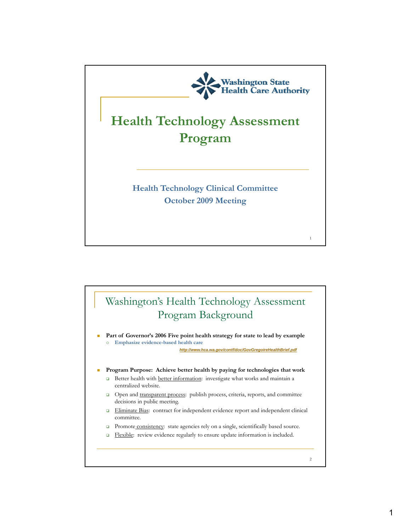

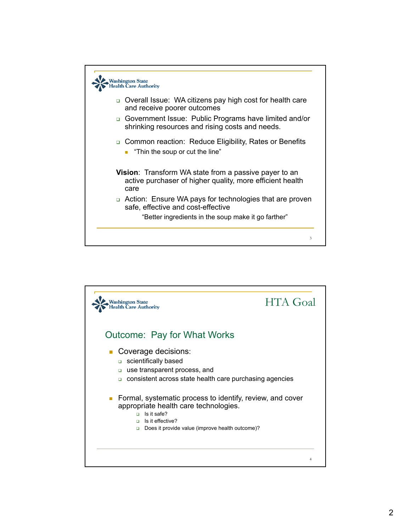

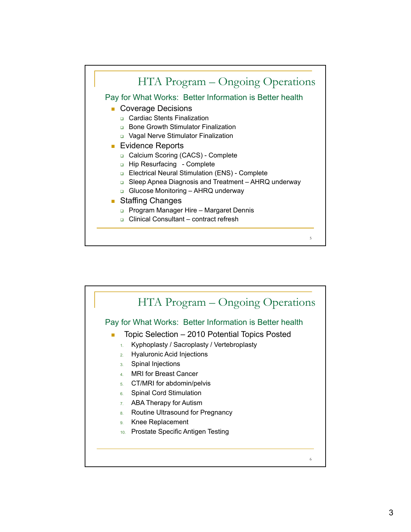

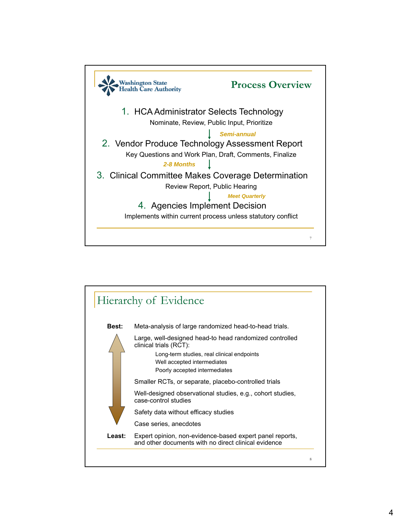

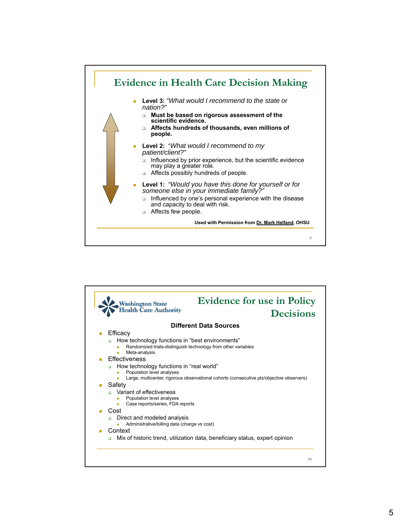

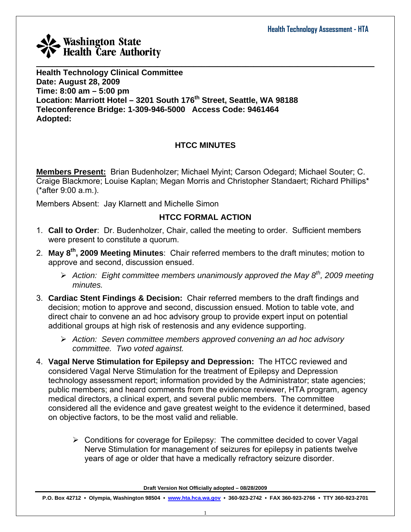

**Health Technology Clinical Committee Date: August 28, 2009 Time: 8:00 am – 5:00 pm Location: Marriott Hotel – 3201 South 176th Street, Seattle, WA 98188 Teleconference Bridge: 1-309-946-5000 Access Code: 9461464 Adopted:** 

## **HTCC MINUTES**

**Members Present:** Brian Budenholzer; Michael Myint; Carson Odegard; Michael Souter; C. Craige Blackmore; Louise Kaplan; Megan Morris and Christopher Standaert; Richard Phillips\* (\*after 9:00 a.m.).

Members Absent: Jay Klarnett and Michelle Simon

## **HTCC FORMAL ACTION**

- 1. **Call to Order**: Dr. Budenholzer, Chair, called the meeting to order. Sufficient members were present to constitute a quorum.
- 2. **May 8th, 2009 Meeting Minutes**: Chair referred members to the draft minutes; motion to approve and second, discussion ensued.
	- ¾ *Action: Eight committee members unanimously approved the May 8th, 2009 meeting minutes.*
- 3. **Cardiac Stent Findings & Decision:** Chair referred members to the draft findings and decision; motion to approve and second, discussion ensued. Motion to table vote, and direct chair to convene an ad hoc advisory group to provide expert input on potential additional groups at high risk of restenosis and any evidence supporting.
	- ¾ *Action: Seven committee members approved convening an ad hoc advisory committee. Two voted against.*
- 4. **Vagal Nerve Stimulation for Epilepsy and Depression:** The HTCC reviewed and considered Vagal Nerve Stimulation for the treatment of Epilepsy and Depression technology assessment report; information provided by the Administrator; state agencies; public members; and heard comments from the evidence reviewer, HTA program, agency medical directors, a clinical expert, and several public members. The committee considered all the evidence and gave greatest weight to the evidence it determined, based on objective factors, to be the most valid and reliable.
	- $\triangleright$  Conditions for coverage for Epilepsy: The committee decided to cover Vagal Nerve Stimulation for management of seizures for epilepsy in patients twelve years of age or older that have a medically refractory seizure disorder.

**Draft Version Not Officially adopted – 08/28/2009**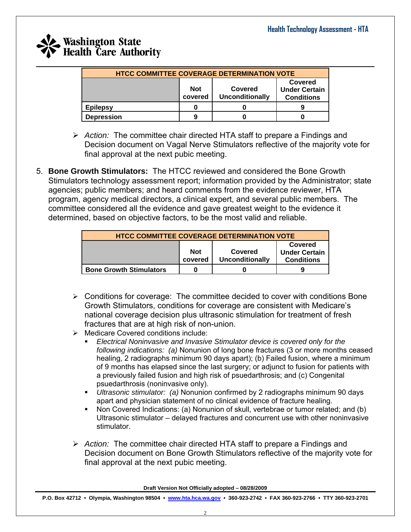| <b>HTCC COMMITTEE COVERAGE DETERMINATION VOTE</b> |                                                            |  |  |  |  |  |  |
|---------------------------------------------------|------------------------------------------------------------|--|--|--|--|--|--|
|                                                   | <b>Not</b><br>Covered<br><b>Unconditionally</b><br>covered |  |  |  |  |  |  |
| <b>Epilepsy</b>                                   |                                                            |  |  |  |  |  |  |
| <b>Depression</b>                                 | 9                                                          |  |  |  |  |  |  |

- ¾ *Action:* The committee chair directed HTA staff to prepare a Findings and Decision document on Vagal Nerve Stimulators reflective of the majority vote for final approval at the next pubic meeting.
- 5. **Bone Growth Stimulators:** The HTCC reviewed and considered the Bone Growth Stimulators technology assessment report; information provided by the Administrator; state agencies; public members; and heard comments from the evidence reviewer, HTA program, agency medical directors, a clinical expert, and several public members. The committee considered all the evidence and gave greatest weight to the evidence it determined, based on objective factors, to be the most valid and reliable.

| <b>HTCC COMMITTEE COVERAGE DETERMINATION VOTE</b>                                                                  |   |  |  |  |  |  |
|--------------------------------------------------------------------------------------------------------------------|---|--|--|--|--|--|
| Covered<br><b>Not</b><br><b>Under Certain</b><br>Covered<br><b>Unconditionally</b><br>covered<br><b>Conditions</b> |   |  |  |  |  |  |
| <b>Bone Growth Stimulators</b>                                                                                     | O |  |  |  |  |  |

- $\triangleright$  Conditions for coverage: The committee decided to cover with conditions Bone Growth Stimulators, conditions for coverage are consistent with Medicare's national coverage decision plus ultrasonic stimulation for treatment of fresh fractures that are at high risk of non-union.
- ¾ Medicare Covered conditions include:
	- *Electrical Noninvasive and Invasive Stimulator device is covered only for the following indications: (a)* Nonunion of long bone fractures (3 or more months ceased healing, 2 radiographs minimum 90 days apart); (b) Failed fusion, where a minimum of 9 months has elapsed since the last surgery; or adjunct to fusion for patients with a previously failed fusion and high risk of psuedarthrosis; and (c) Congenital psuedarthrosis (noninvasive only).
	- *Ultrasonic stimulator: (a)* Nonunion confirmed by 2 radiographs minimum 90 days apart and physician statement of no clinical evidence of fracture healing.
	- Non Covered Indications: (a) Nonunion of skull, vertebrae or tumor related; and (b) Ultrasonic stimulator – delayed fractures and concurrent use with other noninvasive stimulator.
- ¾ *Action:* The committee chair directed HTA staff to prepare a Findings and Decision document on Bone Growth Stimulators reflective of the majority vote for final approval at the next pubic meeting.

**Draft Version Not Officially adopted – 08/28/2009**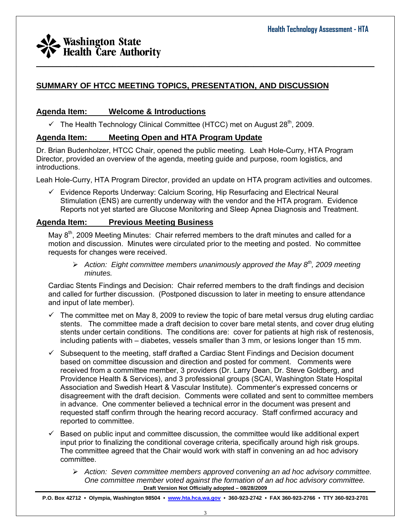## **SUMMARY OF HTCC MEETING TOPICS, PRESENTATION, AND DISCUSSION**

### **Agenda Item: Welcome & Introductions**

 $\checkmark$  The Health Technology Clinical Committee (HTCC) met on August 28<sup>th</sup>, 2009.

### **Agenda Item: Meeting Open and HTA Program Update**

Dr. Brian Budenholzer, HTCC Chair, opened the public meeting. Leah Hole-Curry, HTA Program Director, provided an overview of the agenda, meeting guide and purpose, room logistics, and introductions.

Leah Hole-Curry, HTA Program Director, provided an update on HTA program activities and outcomes.

 $\_$  , and the set of the set of the set of the set of the set of the set of the set of the set of the set of the set of the set of the set of the set of the set of the set of the set of the set of the set of the set of th

 $\checkmark$  Evidence Reports Underway: Calcium Scoring, Hip Resurfacing and Electrical Neural Stimulation (ENS) are currently underway with the vendor and the HTA program. Evidence Reports not yet started are Glucose Monitoring and Sleep Apnea Diagnosis and Treatment.

### **Agenda Item: Previous Meeting Business**

May 8<sup>th</sup>, 2009 Meeting Minutes: Chair referred members to the draft minutes and called for a motion and discussion. Minutes were circulated prior to the meeting and posted. No committee requests for changes were received.

¾ *Action: Eight committee members unanimously approved the May 8th, 2009 meeting minutes.* 

Cardiac Stents Findings and Decision:Chair referred members to the draft findings and decision and called for further discussion. (Postponed discussion to later in meeting to ensure attendance and input of late member).

- $\checkmark$  The committee met on May 8, 2009 to review the topic of bare metal versus drug eluting cardiac stents. The committee made a draft decision to cover bare metal stents, and cover drug eluting stents under certain conditions. The conditions are: cover for patients at high risk of restenosis, including patients with – diabetes, vessels smaller than 3 mm, or lesions longer than 15 mm.
- Subsequent to the meeting, staff drafted a Cardiac Stent Findings and Decision document based on committee discussion and direction and posted for comment. Comments were received from a committee member, 3 providers (Dr. Larry Dean, Dr. Steve Goldberg, and Providence Health & Services), and 3 professional groups (SCAI, Washington State Hospital Association and Swedish Heart & Vascular Institute). Commenter's expressed concerns or disagreement with the draft decision. Comments were collated and sent to committee members in advance. One commenter believed a technical error in the document was present and requested staff confirm through the hearing record accuracy. Staff confirmed accuracy and reported to committee.
- $\checkmark$  Based on public input and committee discussion, the committee would like additional expert input prior to finalizing the conditional coverage criteria, specifically around high risk groups. The committee agreed that the Chair would work with staff in convening an ad hoc advisory committee.
	- **Draft Version Not Officially adopted 08/28/2009**  ¾ *Action: Seven committee members approved convening an ad hoc advisory committee. One committee member voted against the formation of an ad hoc advisory committee.*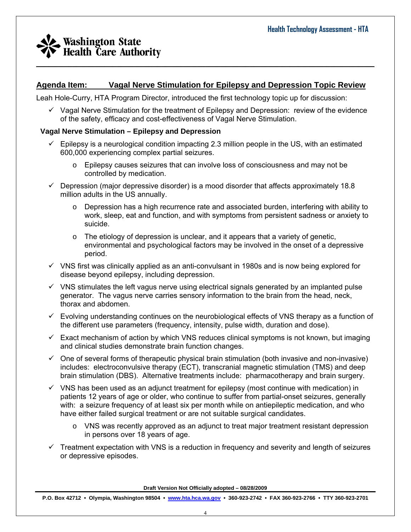## **Agenda Item: Vagal Nerve Stimulation for Epilepsy and Depression Topic Review**

 $\_$  , and the set of the set of the set of the set of the set of the set of the set of the set of the set of the set of the set of the set of the set of the set of the set of the set of the set of the set of the set of th

Leah Hole-Curry, HTA Program Director, introduced the first technology topic up for discussion:

 $\checkmark$  Vagal Nerve Stimulation for the treatment of Epilepsy and Depression: review of the evidence of the safety, efficacy and cost-effectiveness of Vagal Nerve Stimulation.

#### **Vagal Nerve Stimulation – Epilepsy and Depression**

- $\checkmark$  Epilepsy is a neurological condition impacting 2.3 million people in the US, with an estimated 600,000 experiencing complex partial seizures.
	- $\circ$  Epilepsy causes seizures that can involve loss of consciousness and may not be controlled by medication.
- $\checkmark$  Depression (major depressive disorder) is a mood disorder that affects approximately 18.8 million adults in the US annually.
	- $\circ$  Depression has a high recurrence rate and associated burden, interfering with ability to work, sleep, eat and function, and with symptoms from persistent sadness or anxiety to suicide.
	- $\circ$  The etiology of depression is unclear, and it appears that a variety of genetic, environmental and psychological factors may be involved in the onset of a depressive period.
- $\checkmark$  VNS first was clinically applied as an anti-convulsant in 1980s and is now being explored for disease beyond epilepsy, including depression.
- $\checkmark$  VNS stimulates the left vagus nerve using electrical signals generated by an implanted pulse generator. The vagus nerve carries sensory information to the brain from the head, neck, thorax and abdomen.
- $\checkmark$  Evolving understanding continues on the neurobiological effects of VNS therapy as a function of the different use parameters (frequency, intensity, pulse width, duration and dose).
- $\checkmark$  Exact mechanism of action by which VNS reduces clinical symptoms is not known, but imaging and clinical studies demonstrate brain function changes.
- $\checkmark$  One of several forms of therapeutic physical brain stimulation (both invasive and non-invasive) includes: electroconvulsive therapy (ECT), transcranial magnetic stimulation (TMS) and deep brain stimulation (DBS). Alternative treatments include: pharmacotherapy and brain surgery.
- $\checkmark$  VNS has been used as an adjunct treatment for epilepsy (most continue with medication) in patients 12 years of age or older, who continue to suffer from partial-onset seizures, generally with: a seizure frequency of at least six per month while on antiepileptic medication, and who have either failed surgical treatment or are not suitable surgical candidates.
	- $\circ$  VNS was recently approved as an adjunct to treat major treatment resistant depression in persons over 18 years of age.
- $\checkmark$  Treatment expectation with VNS is a reduction in frequency and severity and length of seizures or depressive episodes.

**Draft Version Not Officially adopted – 08/28/2009**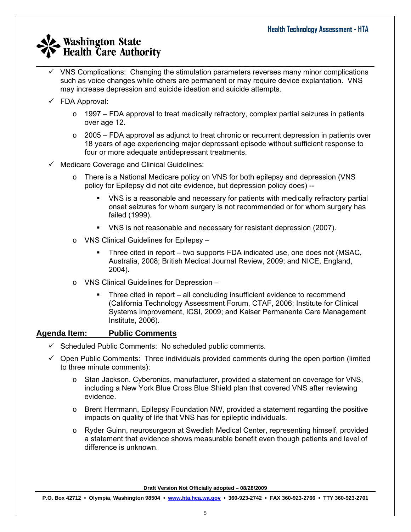$\checkmark$  VNS Complications: Changing the stimulation parameters reverses many minor complications such as voice changes while others are permanent or may require device explantation. VNS may increase depression and suicide ideation and suicide attempts.

 $\_$  , and the set of the set of the set of the set of the set of the set of the set of the set of the set of the set of the set of the set of the set of the set of the set of the set of the set of the set of the set of th

- $\checkmark$  FDA Approval:
	- $\circ$  1997 FDA approval to treat medically refractory, complex partial seizures in patients over age 12.
	- $\circ$  2005 FDA approval as adjunct to treat chronic or recurrent depression in patients over 18 years of age experiencing major depressant episode without sufficient response to four or more adequate antidepressant treatments.
- $\checkmark$  Medicare Coverage and Clinical Guidelines:
	- o There is a National Medicare policy on VNS for both epilepsy and depression (VNS policy for Epilepsy did not cite evidence, but depression policy does) --
		- VNS is a reasonable and necessary for patients with medically refractory partial onset seizures for whom surgery is not recommended or for whom surgery has failed (1999).
		- VNS is not reasonable and necessary for resistant depression (2007).
	- o VNS Clinical Guidelines for Epilepsy
		- Three cited in report two supports FDA indicated use, one does not (MSAC, Australia, 2008; British Medical Journal Review, 2009; and NICE, England, 2004).
	- o VNS Clinical Guidelines for Depression
		- Three cited in report all concluding insufficient evidence to recommend (California Technology Assessment Forum, CTAF, 2006; Institute for Clinical Systems Improvement, ICSI, 2009; and Kaiser Permanente Care Management Institute, 2006).

### **Agenda Item: Public Comments**

- $\checkmark$  Scheduled Public Comments: No scheduled public comments.
- $\checkmark$  Open Public Comments: Three individuals provided comments during the open portion (limited to three minute comments):
	- o Stan Jackson, Cyberonics, manufacturer, provided a statement on coverage for VNS, including a New York Blue Cross Blue Shield plan that covered VNS after reviewing evidence.
	- $\circ$  Brent Herrmann, Epilepsy Foundation NW, provided a statement regarding the positive impacts on quality of life that VNS has for epileptic individuals.
	- o Ryder Guinn, neurosurgeon at Swedish Medical Center, representing himself, provided a statement that evidence shows measurable benefit even though patients and level of difference is unknown.

**Draft Version Not Officially adopted – 08/28/2009**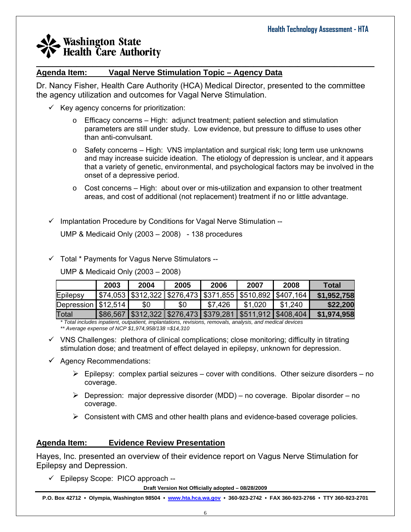#### $\_$  , and the set of the set of the set of the set of the set of the set of the set of the set of the set of the set of the set of the set of the set of the set of the set of the set of the set of the set of the set of th **Agenda Item: Vagal Nerve Stimulation Topic – Agency Data**

Dr. Nancy Fisher, Health Care Authority (HCA) Medical Director, presented to the committee the agency utilization and outcomes for Vagal Nerve Stimulation.

- $\checkmark$  Key agency concerns for prioritization:
	- $\circ$  Efficacy concerns High: adjunct treatment; patient selection and stimulation parameters are still under study. Low evidence, but pressure to diffuse to uses other than anti-convulsant.
	- $\circ$  Safety concerns High: VNS implantation and surgical risk; long term use unknowns and may increase suicide ideation. The etiology of depression is unclear, and it appears that a variety of genetic, environmental, and psychological factors may be involved in the onset of a depressive period.
	- $\circ$  Cost concerns High: about over or mis-utilization and expansion to other treatment areas, and cost of additional (not replacement) treatment if no or little advantage.
- $\checkmark$  Implantation Procedure by Conditions for Vagal Nerve Stimulation --

UMP & Medicaid Only (2003 – 2008) - 138 procedures

 $\checkmark$  Total \* Payments for Vagus Nerve Stimulators --

UMP & Medicaid Only (2003 – 2008)

|                        | 2003 | 2004 | 2005                                                            | 2006    | 2007    | 2008                                                                 | Total       |
|------------------------|------|------|-----------------------------------------------------------------|---------|---------|----------------------------------------------------------------------|-------------|
| Epilepsy               |      |      |                                                                 |         |         | \$74,053   \$312,322   \$276,473   \$371,855   \$510,892   \$407,164 | \$1,952,758 |
| Depression $  $12,514$ |      | \$0  | \$0                                                             | \$7,426 | \$1,020 | \$1,240                                                              | \$22,200    |
| Total                  |      |      | \$86,567  \$312,322  \$276,473  \$379,281  \$511,912  \$408,404 |         |         |                                                                      | \$1,974,958 |

*\* Total includes inpatient, outpatient, implantations, revisions, removals, analysis, and medical devices \*\* Average expense of NCP \$1,974,958/138 =\$14,310*

- $\checkmark$  VNS Challenges: plethora of clinical complications; close monitoring; difficulty in titrating stimulation dose; and treatment of effect delayed in epilepsy, unknown for depression.
- $\checkmark$  Agency Recommendations:
	- $\triangleright$  Epilepsy: complex partial seizures cover with conditions. Other seizure disorders no coverage.
	- $\triangleright$  Depression: major depressive disorder (MDD) no coverage. Bipolar disorder no coverage.
	- $\triangleright$  Consistent with CMS and other health plans and evidence-based coverage policies.

### **Agenda Item: Evidence Review Presentation**

Hayes, Inc. presented an overview of their evidence report on Vagus Nerve Stimulation for Epilepsy and Depression.

 $\checkmark$  Epilepsy Scope: PICO approach --

**Draft Version Not Officially adopted – 08/28/2009**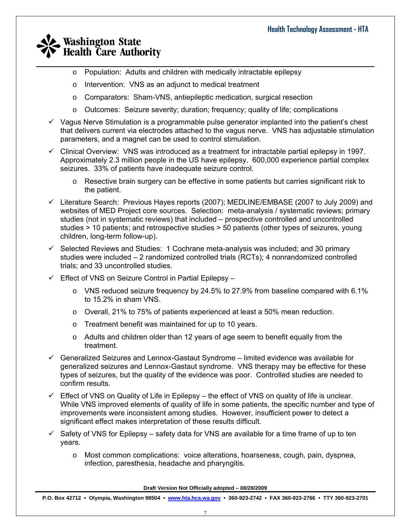- $\_$  , and the set of the set of the set of the set of the set of the set of the set of the set of the set of the set of the set of the set of the set of the set of the set of the set of the set of the set of the set of th o Population: Adults and children with medically intractable epilepsy
	- o Intervention: VNS as an adjunct to medical treatment
	- o Comparators: Sham-VNS, antiepileptic medication, surgical resection
	- o Outcomes: Seizure severity; duration; frequency; quality of life; complications
	- $\checkmark$  Vagus Nerve Stimulation is a programmable pulse generator implanted into the patient's chest that delivers current via electrodes attached to the vagus nerve. VNS has adjustable stimulation parameters, and a magnet can be used to control stimulation.
	- $\checkmark$  Clinical Overview: VNS was introduced as a treatment for intractable partial epilepsy in 1997. Approximately 2.3 million people in the US have epilepsy. 600,000 experience partial complex seizures. 33% of patients have inadequate seizure control.
		- o Resective brain surgery can be effective in some patients but carries significant risk to the patient.
	- $\checkmark$  Literature Search: Previous Hayes reports (2007); MEDLINE/EMBASE (2007 to July 2009) and websites of MED Project core sources. Selection: meta-analysis / systematic reviews; primary studies (not in systematic reviews) that included – prospective controlled and uncontrolled studies > 10 patients; and retrospective studies > 50 patients (other types of seizures, young children, long-term follow-up).
	- $\checkmark$  Selected Reviews and Studies: 1 Cochrane meta-analysis was included; and 30 primary studies were included – 2 randomized controlled trials (RCTs); 4 nonrandomized controlled trials; and 33 uncontrolled studies.
	- $\checkmark$  Effect of VNS on Seizure Control in Partial Epilepsy
		- $\circ$  VNS reduced seizure frequency by 24.5% to 27.9% from baseline compared with 6.1% to 15.2% in sham VNS.
		- o Overall, 21% to 75% of patients experienced at least a 50% mean reduction.
		- o Treatment benefit was maintained for up to 10 years.
		- $\circ$  Adults and children older than 12 years of age seem to benefit equally from the treatment.
	- $\checkmark$  Generalized Seizures and Lennox-Gastaut Syndrome limited evidence was available for generalized seizures and Lennox-Gastaut syndrome. VNS therapy may be effective for these types of seizures, but the quality of the evidence was poor. Controlled studies are needed to confirm results.
	- $\checkmark$  Effect of VNS on Quality of Life in Epilepsy the effect of VNS on quality of life is unclear. While VNS improved elements of quality of life in some patients, the specific number and type of improvements were inconsistent among studies. However, insufficient power to detect a significant effect makes interpretation of these results difficult.
	- $\checkmark$  Safety of VNS for Epilepsy safety data for VNS are available for a time frame of up to ten years.
		- o Most common complications: voice alterations, hoarseness, cough, pain, dyspnea, infection, paresthesia, headache and pharyngitis.

**Draft Version Not Officially adopted – 08/28/2009**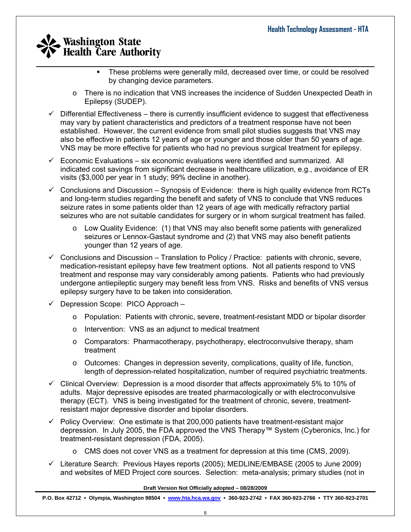- $\_$  , and the set of the set of the set of the set of the set of the set of the set of the set of the set of the set of the set of the set of the set of the set of the set of the set of the set of the set of the set of th • These problems were generally mild, decreased over time, or could be resolved by changing device parameters.
	- o There is no indication that VNS increases the incidence of Sudden Unexpected Death in Epilepsy (SUDEP).
	- $\checkmark$  Differential Effectiveness there is currently insufficient evidence to suggest that effectiveness may vary by patient characteristics and predictors of a treatment response have not been established. However, the current evidence from small pilot studies suggests that VNS may also be effective in patients 12 years of age or younger and those older than 50 years of age. VNS may be more effective for patients who had no previous surgical treatment for epilepsy.
	- $\checkmark$  Economic Evaluations six economic evaluations were identified and summarized. All indicated cost savings from significant decrease in healthcare utilization, e.g., avoidance of ER visits (\$3,000 per year in 1 study; 99% decline in another).
	- $\checkmark$  Conclusions and Discussion Synopsis of Evidence: there is high quality evidence from RCTs and long-term studies regarding the benefit and safety of VNS to conclude that VNS reduces seizure rates in some patients older than 12 years of age with medically refractory partial seizures who are not suitable candidates for surgery or in whom surgical treatment has failed.
		- $\circ$  Low Quality Evidence: (1) that VNS may also benefit some patients with generalized seizures or Lennox-Gastaut syndrome and (2) that VNS may also benefit patients younger than 12 years of age.
	- $\checkmark$  Conclusions and Discussion Translation to Policy / Practice: patients with chronic, severe, medication-resistant epilepsy have few treatment options. Not all patients respond to VNS treatment and response may vary considerably among patients. Patients who had previously undergone antiepileptic surgery may benefit less from VNS. Risks and benefits of VNS versus epilepsy surgery have to be taken into consideration.
	- $\checkmark$  Depression Scope: PICO Approach
		- o Population: Patients with chronic, severe, treatment-resistant MDD or bipolar disorder
		- o Intervention: VNS as an adjunct to medical treatment
		- o Comparators: Pharmacotherapy, psychotherapy, electroconvulsive therapy, sham treatment
		- $\circ$  Outcomes: Changes in depression severity, complications, quality of life, function, length of depression-related hospitalization, number of required psychiatric treatments.
	- $\checkmark$  Clinical Overview: Depression is a mood disorder that affects approximately 5% to 10% of adults. Major depressive episodes are treated pharmacologically or with electroconvulsive therapy (ECT). VNS is being investigated for the treatment of chronic, severe, treatmentresistant major depressive disorder and bipolar disorders.
	- $\checkmark$  Policy Overview: One estimate is that 200,000 patients have treatment-resistant major depression. In July 2005, the FDA approved the VNS Therapy™ System (Cyberonics, Inc.) for treatment-resistant depression (FDA, 2005).
		- o CMS does not cover VNS as a treatment for depression at this time (CMS, 2009).
	- $\checkmark$  Literature Search: Previous Hayes reports (2005); MEDLINE/EMBASE (2005 to June 2009) and websites of MED Project core sources. Selection: meta-analysis; primary studies (not in

**Draft Version Not Officially adopted – 08/28/2009**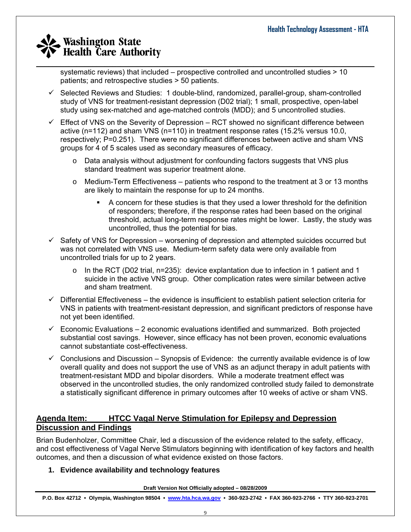$\_$  , and the set of the set of the set of the set of the set of the set of the set of the set of the set of the set of the set of the set of the set of the set of the set of the set of the set of the set of the set of th systematic reviews) that included – prospective controlled and uncontrolled studies > 10 patients; and retrospective studies > 50 patients.

- $\checkmark$  Selected Reviews and Studies: 1 double-blind, randomized, parallel-group, sham-controlled study of VNS for treatment-resistant depression (D02 trial); 1 small, prospective, open-label study using sex-matched and age-matched controls (MDD); and 5 uncontrolled studies.
- $\checkmark$  Effect of VNS on the Severity of Depression RCT showed no significant difference between active (n=112) and sham VNS (n=110) in treatment response rates (15.2% versus 10.0, respectively; P=0.251). There were no significant differences between active and sham VNS groups for 4 of 5 scales used as secondary measures of efficacy.
	- $\circ$  Data analysis without adjustment for confounding factors suggests that VNS plus standard treatment was superior treatment alone.
	- $\circ$  Medium-Term Effectiveness patients who respond to the treatment at 3 or 13 months are likely to maintain the response for up to 24 months.
		- A concern for these studies is that they used a lower threshold for the definition of responders; therefore, if the response rates had been based on the original threshold, actual long-term response rates might be lower. Lastly, the study was uncontrolled, thus the potential for bias.
- $\checkmark$  Safety of VNS for Depression worsening of depression and attempted suicides occurred but was not correlated with VNS use. Medium-term safety data were only available from uncontrolled trials for up to 2 years.
	- $\circ$  In the RCT (D02 trial, n=235): device explantation due to infection in 1 patient and 1 suicide in the active VNS group. Other complication rates were similar between active and sham treatment.
- $\checkmark$  Differential Effectiveness the evidence is insufficient to establish patient selection criteria for VNS in patients with treatment-resistant depression, and significant predictors of response have not yet been identified.
- $\checkmark$  Economic Evaluations 2 economic evaluations identified and summarized. Both projected substantial cost savings. However, since efficacy has not been proven, economic evaluations cannot substantiate cost-effectiveness.
- $\checkmark$  Conclusions and Discussion Synopsis of Evidence: the currently available evidence is of low overall quality and does not support the use of VNS as an adjunct therapy in adult patients with treatment-resistant MDD and bipolar disorders. While a moderate treatment effect was observed in the uncontrolled studies, the only randomized controlled study failed to demonstrate a statistically significant difference in primary outcomes after 10 weeks of active or sham VNS.

## **Agenda Item: HTCC Vagal Nerve Stimulation for Epilepsy and Depression Discussion and Findings**

Brian Budenholzer, Committee Chair, led a discussion of the evidence related to the safety, efficacy, and cost effectiveness of Vagal Nerve Stimulators beginning with identification of key factors and health outcomes, and then a discussion of what evidence existed on those factors.

### **1. Evidence availability and technology features**

**Draft Version Not Officially adopted – 08/28/2009**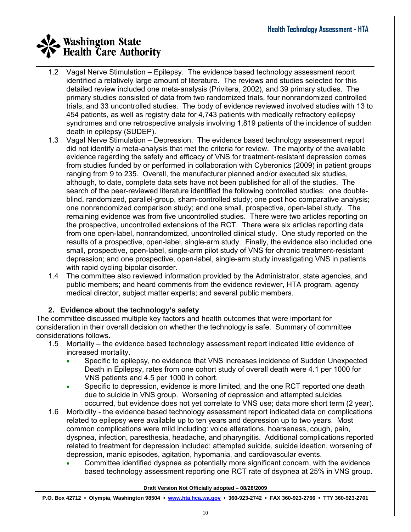- 1.2 Vagal Nerve Stimulation Epilepsy. The evidence based technology assessment report identified a relatively large amount of literature. The reviews and studies selected for this detailed review included one meta-analysis (Privitera, 2002), and 39 primary studies. The primary studies consisted of data from two randomized trials, four nonrandomized controlled trials, and 33 uncontrolled studies. The body of evidence reviewed involved studies with 13 to 454 patients, as well as registry data for 4,743 patients with medically refractory epilepsy syndromes and one retrospective analysis involving 1,819 patients of the incidence of sudden death in epilepsy (SUDEP).
- 1.3 Vagal Nerve Stimulation Depression. The evidence based technology assessment report did not identify a meta-analysis that met the criteria for review. The majority of the available evidence regarding the safety and efficacy of VNS for treatment-resistant depression comes from studies funded by or performed in collaboration with Cyberonics (2009) in patient groups ranging from 9 to 235. Overall, the manufacturer planned and/or executed six studies, although, to date, complete data sets have not been published for all of the studies. The search of the peer-reviewed literature identified the following controlled studies: one doubleblind, randomized, parallel-group, sham-controlled study; one post hoc comparative analysis; one nonrandomized comparison study; and one small, prospective, open-label study. The remaining evidence was from five uncontrolled studies. There were two articles reporting on the prospective, uncontrolled extensions of the RCT. There were six articles reporting data from one open-label, nonrandomized, uncontrolled clinical study. One study reported on the results of a prospective, open-label, single-arm study. Finally, the evidence also included one small, prospective, open-label, single-arm pilot study of VNS for chronic treatment-resistant depression; and one prospective, open-label, single-arm study investigating VNS in patients with rapid cycling bipolar disorder.
- 1.4 The committee also reviewed information provided by the Administrator, state agencies, and public members; and heard comments from the evidence reviewer, HTA program, agency medical director, subject matter experts; and several public members.

### **2. Evidence about the technology's safety**

The committee discussed multiple key factors and health outcomes that were important for consideration in their overall decision on whether the technology is safe. Summary of committee considerations follows.

- 1.5 Mortality the evidence based technology assessment report indicated little evidence of increased mortality.
	- Specific to epilepsy, no evidence that VNS increases incidence of Sudden Unexpected Death in Epilepsy, rates from one cohort study of overall death were 4.1 per 1000 for VNS patients and 4.5 per 1000 in cohort.
	- Specific to depression, evidence is more limited, and the one RCT reported one death due to suicide in VNS group. Worsening of depression and attempted suicides occurred, but evidence does not yet correlate to VNS use; data more short term (2 year).
- 1.6 Morbidity the evidence based technology assessment report indicated data on complications related to epilepsy were available up to ten years and depression up to two years. Most common complications were mild including: voice alterations, hoarseness, cough, pain, dyspnea, infection, paresthesia, headache, and pharyngitis. Additional complications reported related to treatment for depression included: attempted suicide, suicide ideation, worsening of depression, manic episodes, agitation, hypomania, and cardiovascular events.
	- Committee identified dyspnea as potentially more significant concern, with the evidence based technology assessment reporting one RCT rate of dsypnea at 25% in VNS group.

#### **Draft Version Not Officially adopted – 08/28/2009**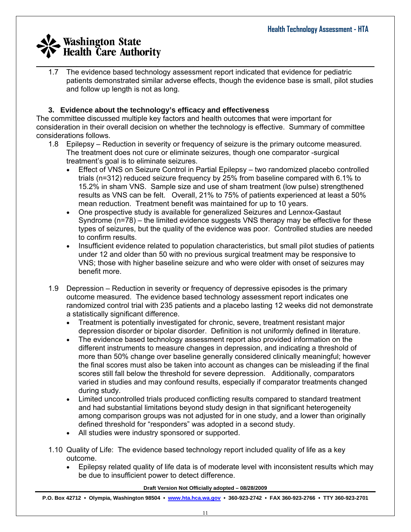$\_$  , and the set of the set of the set of the set of the set of the set of the set of the set of the set of the set of the set of the set of the set of the set of the set of the set of the set of the set of the set of th 1.7 The evidence based technology assessment report indicated that evidence for pediatric patients demonstrated similar adverse effects, though the evidence base is small, pilot studies and follow up length is not as long.

### **3. Evidence about the technology's efficacy and effectiveness**

The committee discussed multiple key factors and health outcomes that were important for consideration in their overall decision on whether the technology is effective. Summary of committee considerations follows.

- 1.8 Epilepsy Reduction in severity or frequency of seizure is the primary outcome measured. The treatment does not cure or eliminate seizures, though one comparator -surgical treatment's goal is to eliminate seizures.
	- Effect of VNS on Seizure Control in Partial Epilepsy two randomized placebo controlled trials (n=312) reduced seizure frequency by 25% from baseline compared with 6.1% to 15.2% in sham VNS. Sample size and use of sham treatment (low pulse) strengthened results as VNS can be felt. Overall, 21% to 75% of patients experienced at least a 50% mean reduction. Treatment benefit was maintained for up to 10 years.
	- One prospective study is available for generalized Seizures and Lennox-Gastaut Syndrome (n=78) – the limited evidence suggests VNS therapy may be effective for these types of seizures, but the quality of the evidence was poor. Controlled studies are needed to confirm results.
	- Insufficient evidence related to population characteristics, but small pilot studies of patients under 12 and older than 50 with no previous surgical treatment may be responsive to VNS; those with higher baseline seizure and who were older with onset of seizures may benefit more.
- 1.9 Depression Reduction in severity or frequency of depressive episodes is the primary outcome measured. The evidence based technology assessment report indicates one randomized control trial with 235 patients and a placebo lasting 12 weeks did not demonstrate a statistically significant difference.
	- Treatment is potentially investigated for chronic, severe, treatment resistant major depression disorder or bipolar disorder. Definition is not uniformly defined in literature.
	- The evidence based technology assessment report also provided information on the different instruments to measure changes in depression, and indicating a threshold of more than 50% change over baseline generally considered clinically meaningful; however the final scores must also be taken into account as changes can be misleading if the final scores still fall below the threshold for severe depression. Additionally, comparators varied in studies and may confound results, especially if comparator treatments changed during study.
	- Limited uncontrolled trials produced conflicting results compared to standard treatment and had substantial limitations beyond study design in that significant heterogeneity among comparison groups was not adjusted for in one study, and a lower than originally defined threshold for "responders" was adopted in a second study.
	- All studies were industry sponsored or supported.
- 1.10 Quality of Life: The evidence based technology report included quality of life as a key outcome.
	- Epilepsy related quality of life data is of moderate level with inconsistent results which may be due to insufficient power to detect difference.

#### **Draft Version Not Officially adopted – 08/28/2009**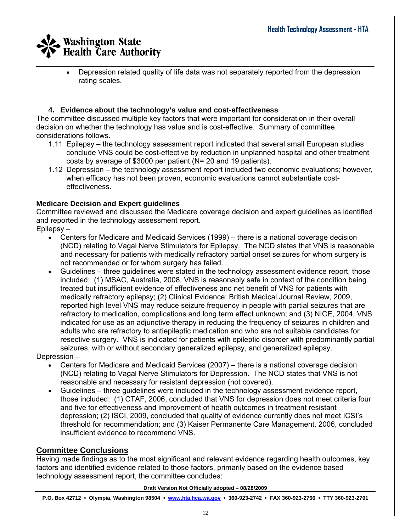• Depression related quality of life data was not separately reported from the depression rating scales.

### **4. Evidence about the technology's value and cost-effectiveness**

The committee discussed multiple key factors that were important for consideration in their overall decision on whether the technology has value and is cost-effective. Summary of committee considerations follows.

- 1.11 Epilepsy the technology assessment report indicated that several small European studies conclude VNS could be cost-effective by reduction in unplanned hospital and other treatment costs by average of \$3000 per patient (N= 20 and 19 patients).
- 1.12 Depression the technology assessment report included two economic evaluations; however, when efficacy has not been proven, economic evaluations cannot substantiate costeffectiveness.

### **Medicare Decision and Expert guidelines**

Committee reviewed and discussed the Medicare coverage decision and expert guidelines as identified and reported in the technology assessment report.

Epilepsy –

- Centers for Medicare and Medicaid Services (1999) there is a national coverage decision (NCD) relating to Vagal Nerve Stimulators for Epilepsy. The NCD states that VNS is reasonable and necessary for patients with medically refractory partial onset seizures for whom surgery is not recommended or for whom surgery has failed.
- Guidelines three guidelines were stated in the technology assessment evidence report, those included: (1) MSAC, Australia, 2008, VNS is reasonably safe in context of the condition being treated but insufficient evidence of effectiveness and net benefit of VNS for patients with medically refractory epilepsy; (2) Clinical Evidence: British Medical Journal Review, 2009, reported high level VNS may reduce seizure frequency in people with partial seizures that are refractory to medication, complications and long term effect unknown; and (3) NICE, 2004, VNS indicated for use as an adjunctive therapy in reducing the frequency of seizures in children and adults who are refractory to antiepileptic medication and who are not suitable candidates for resective surgery. VNS is indicated for patients with epileptic disorder with predominantly partial seizures, with or without secondary generalized epilepsy, and generalized epilepsy.

Depression –

- Centers for Medicare and Medicaid Services (2007) there is a national coverage decision (NCD) relating to Vagal Nerve Stimulators for Depression. The NCD states that VNS is not reasonable and necessary for resistant depression (not covered).
- Guidelines three guidelines were included in the technology assessment evidence report, those included: (1) CTAF, 2006, concluded that VNS for depression does not meet criteria four and five for effectiveness and improvement of health outcomes in treatment resistant depression; (2) ISCI, 2009, concluded that quality of evidence currently does not meet ICSI's threshold for recommendation; and (3) Kaiser Permanente Care Management, 2006, concluded insufficient evidence to recommend VNS.

### **Committee Conclusions**

Having made findings as to the most significant and relevant evidence regarding health outcomes, key factors and identified evidence related to those factors, primarily based on the evidence based technology assessment report, the committee concludes:

#### **Draft Version Not Officially adopted – 08/28/2009**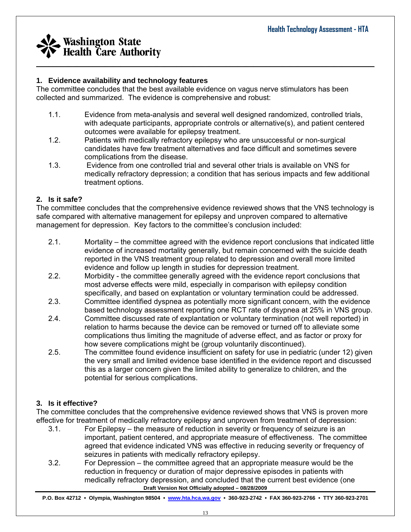

### **1. Evidence availability and technology features**

The committee concludes that the best available evidence on vagus nerve stimulators has been collected and summarized. The evidence is comprehensive and robust:

1.1. Evidence from meta-analysis and several well designed randomized, controlled trials, with adequate participants, appropriate controls or alternative(s), and patient centered outcomes were available for epilepsy treatment.

 $\_$  , and the set of the set of the set of the set of the set of the set of the set of the set of the set of the set of the set of the set of the set of the set of the set of the set of the set of the set of the set of th

- 1.2. Patients with medically refractory epilepsy who are unsuccessful or non-surgical candidates have few treatment alternatives and face difficult and sometimes severe complications from the disease.
- 1.3. Evidence from one controlled trial and several other trials is available on VNS for medically refractory depression; a condition that has serious impacts and few additional treatment options.

### **2. Is it safe?**

The committee concludes that the comprehensive evidence reviewed shows that the VNS technology is safe compared with alternative management for epilepsy and unproven compared to alternative management for depression. Key factors to the committee's conclusion included:

- 2.1. Mortality the committee agreed with the evidence report conclusions that indicated little evidence of increased mortality generally, but remain concerned with the suicide death reported in the VNS treatment group related to depression and overall more limited evidence and follow up length in studies for depression treatment.
- 2.2. Morbidity the committee generally agreed with the evidence report conclusions that most adverse effects were mild, especially in comparison with epilepsy condition specifically, and based on explantation or voluntary termination could be addressed.
- 2.3. Committee identified dyspnea as potentially more significant concern, with the evidence based technology assessment reporting one RCT rate of dsypnea at 25% in VNS group.
- 2.4. Committee discussed rate of explantation or voluntary termination (not well reported) in relation to harms because the device can be removed or turned off to alleviate some complications thus limiting the magnitude of adverse effect, and as factor or proxy for how severe complications might be (group voluntarily discontinued).
- 2.5. The committee found evidence insufficient on safety for use in pediatric (under 12) given the very small and limited evidence base identified in the evidence report and discussed this as a larger concern given the limited ability to generalize to children, and the potential for serious complications.

### **3. Is it effective?**

The committee concludes that the comprehensive evidence reviewed shows that VNS is proven more effective for treatment of medically refractory epilepsy and unproven from treatment of depression:

- 3.1. For Epilepsy the measure of reduction in severity or frequency of seizure is an important, patient centered, and appropriate measure of effectiveness. The committee agreed that evidence indicated VNS was effective in reducing severity or frequency of seizures in patients with medically refractory epilepsy.
- **Draft Version Not Officially adopted 08/28/2009**  3.2. For Depression – the committee agreed that an appropriate measure would be the reduction in frequency or duration of major depressive episodes in patients with medically refractory depression, and concluded that the current best evidence (one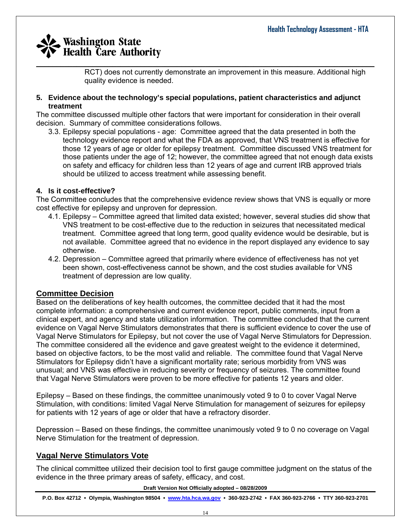RCT) does not currently demonstrate an improvement in this measure. Additional high quality evidence is needed.

#### **5. Evidence about the technology's special populations, patient characteristics and adjunct treatment**

The committee discussed multiple other factors that were important for consideration in their overall decision. Summary of committee considerations follows.

3.3. Epilepsy special populations - age: Committee agreed that the data presented in both the technology evidence report and what the FDA as approved, that VNS treatment is effective for those 12 years of age or older for epilepsy treatment. Committee discussed VNS treatment for those patients under the age of 12; however, the committee agreed that not enough data exists on safety and efficacy for children less than 12 years of age and current IRB approved trials should be utilized to access treatment while assessing benefit.

### **4. Is it cost-effective?**

The Committee concludes that the comprehensive evidence review shows that VNS is equally or more cost effective for epilepsy and unproven for depression.

- 4.1. Epilepsy Committee agreed that limited data existed; however, several studies did show that VNS treatment to be cost-effective due to the reduction in seizures that necessitated medical treatment. Committee agreed that long term, good quality evidence would be desirable, but is not available. Committee agreed that no evidence in the report displayed any evidence to say otherwise.
- 4.2. Depression Committee agreed that primarily where evidence of effectiveness has not yet been shown, cost-effectiveness cannot be shown, and the cost studies available for VNS treatment of depression are low quality.

### **Committee Decision**

Based on the deliberations of key health outcomes, the committee decided that it had the most complete information: a comprehensive and current evidence report, public comments, input from a clinical expert, and agency and state utilization information. The committee concluded that the current evidence on Vagal Nerve Stimulators demonstrates that there is sufficient evidence to cover the use of Vagal Nerve Stimulators for Epilepsy, but not cover the use of Vagal Nerve Stimulators for Depression. The committee considered all the evidence and gave greatest weight to the evidence it determined, based on objective factors, to be the most valid and reliable. The committee found that Vagal Nerve Stimulators for Epilepsy didn't have a significant mortality rate; serious morbidity from VNS was unusual; and VNS was effective in reducing severity or frequency of seizures. The committee found that Vagal Nerve Stimulators were proven to be more effective for patients 12 years and older.

Epilepsy – Based on these findings, the committee unanimously voted 9 to 0 to cover Vagal Nerve Stimulation, with conditions: limited Vagal Nerve Stimulation for management of seizures for epilepsy for patients with 12 years of age or older that have a refractory disorder.

Depression – Based on these findings, the committee unanimously voted 9 to 0 no coverage on Vagal Nerve Stimulation for the treatment of depression.

## **Vagal Nerve Stimulators Vote**

The clinical committee utilized their decision tool to first gauge committee judgment on the status of the evidence in the three primary areas of safety, efficacy, and cost.

#### **Draft Version Not Officially adopted – 08/28/2009**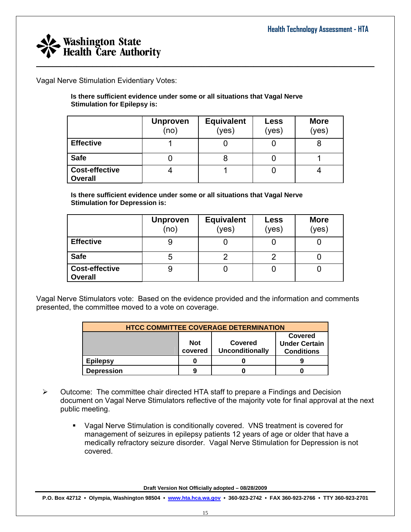

Vagal Nerve Stimulation Evidentiary Votes:

**Is there sufficient evidence under some or all situations that Vagal Nerve Stimulation for Epilepsy is:** 

|                                         | <b>Unproven</b><br>(no) | <b>Equivalent</b><br>(yes) | <b>Less</b><br>(yes) | <b>More</b><br>(yes) |
|-----------------------------------------|-------------------------|----------------------------|----------------------|----------------------|
| <b>Effective</b>                        |                         |                            |                      |                      |
| <b>Safe</b>                             |                         |                            |                      |                      |
| <b>Cost-effective</b><br><b>Overall</b> |                         |                            |                      |                      |

**Is there sufficient evidence under some or all situations that Vagal Nerve Stimulation for Depression is:** 

|                                         | <b>Unproven</b><br>(no) | <b>Equivalent</b><br>(yes) | Less<br>(yes) | <b>More</b><br>(yes) |
|-----------------------------------------|-------------------------|----------------------------|---------------|----------------------|
| <b>Effective</b>                        | 9                       |                            |               |                      |
| <b>Safe</b>                             | 5                       |                            |               |                      |
| <b>Cost-effective</b><br><b>Overall</b> | এ                       |                            |               |                      |

Vagal Nerve Stimulators vote: Based on the evidence provided and the information and comments presented, the committee moved to a vote on coverage.

| <b>HTCC COMMITTEE COVERAGE DETERMINATION</b> |                       |                                                      |  |  |  |  |
|----------------------------------------------|-----------------------|------------------------------------------------------|--|--|--|--|
|                                              | <b>Not</b><br>covered | Covered<br><b>Under Certain</b><br><b>Conditions</b> |  |  |  |  |
| <b>Epilepsy</b>                              |                       |                                                      |  |  |  |  |
| <b>Depression</b>                            | 9                     |                                                      |  |  |  |  |

- $\triangleright$  Outcome: The committee chair directed HTA staff to prepare a Findings and Decision document on Vagal Nerve Stimulators reflective of the majority vote for final approval at the next public meeting.
	- Vagal Nerve Stimulation is conditionally covered. VNS treatment is covered for management of seizures in epilepsy patients 12 years of age or older that have a medically refractory seizure disorder. Vagal Nerve Stimulation for Depression is not covered.

**Draft Version Not Officially adopted – 08/28/2009**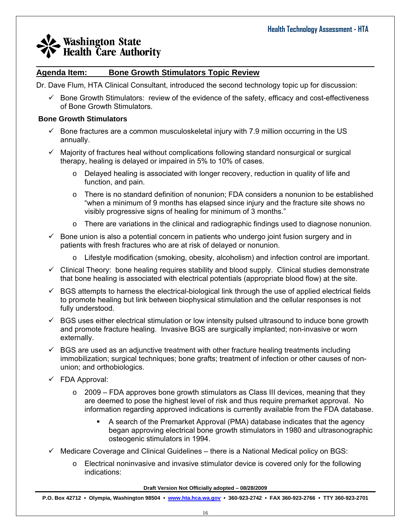#### $\_$  , and the set of the set of the set of the set of the set of the set of the set of the set of the set of the set of the set of the set of the set of the set of the set of the set of the set of the set of the set of th **Agenda Item: Bone Growth Stimulators Topic Review**

Dr. Dave Flum, HTA Clinical Consultant, introduced the second technology topic up for discussion:

 $\checkmark$  Bone Growth Stimulators: review of the evidence of the safety, efficacy and cost-effectiveness of Bone Growth Stimulators.

#### **Bone Growth Stimulators**

- $\checkmark$  Bone fractures are a common musculoskeletal injury with 7.9 million occurring in the US annually.
- $\checkmark$  Majority of fractures heal without complications following standard nonsurgical or surgical therapy, healing is delayed or impaired in 5% to 10% of cases.
	- $\circ$  Delayed healing is associated with longer recovery, reduction in quality of life and function, and pain.
	- o There is no standard definition of nonunion; FDA considers a nonunion to be established "when a minimum of 9 months has elapsed since injury and the fracture site shows no visibly progressive signs of healing for minimum of 3 months."
	- $\circ$  There are variations in the clinical and radiographic findings used to diagnose nonunion.
- $\checkmark$  Bone union is also a potential concern in patients who undergo joint fusion surgery and in patients with fresh fractures who are at risk of delayed or nonunion.
	- o Lifestyle modification (smoking, obesity, alcoholism) and infection control are important.
- $\checkmark$  Clinical Theory: bone healing requires stability and blood supply. Clinical studies demonstrate that bone healing is associated with electrical potentials (appropriate blood flow) at the site.
- $\checkmark$  BGS attempts to harness the electrical-biological link through the use of applied electrical fields to promote healing but link between biophysical stimulation and the cellular responses is not fully understood.
- $\checkmark$  BGS uses either electrical stimulation or low intensity pulsed ultrasound to induce bone growth and promote fracture healing. Invasive BGS are surgically implanted; non-invasive or worn externally.
- $\checkmark$  BGS are used as an adjunctive treatment with other fracture healing treatments including immobilization; surgical techniques; bone grafts; treatment of infection or other causes of nonunion; and orthobiologics.
- $\checkmark$  FDA Approval:
	- $\circ$  2009 FDA approves bone growth stimulators as Class III devices, meaning that they are deemed to pose the highest level of risk and thus require premarket approval. No information regarding approved indications is currently available from the FDA database.
		- A search of the Premarket Approval (PMA) database indicates that the agency began approving electrical bone growth stimulators in 1980 and ultrasonographic osteogenic stimulators in 1994.
- $\checkmark$  Medicare Coverage and Clinical Guidelines there is a National Medical policy on BGS:
	- $\circ$  Electrical noninvasive and invasive stimulator device is covered only for the following indications:

**Draft Version Not Officially adopted – 08/28/2009**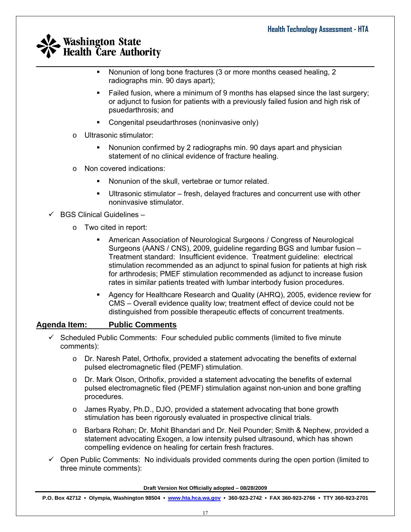- $\_$  , and the set of the set of the set of the set of the set of the set of the set of the set of the set of the set of the set of the set of the set of the set of the set of the set of the set of the set of the set of th • Nonunion of long bone fractures (3 or more months ceased healing, 2 radiographs min. 90 days apart);
	- Failed fusion, where a minimum of 9 months has elapsed since the last surgery; or adjunct to fusion for patients with a previously failed fusion and high risk of psuedarthrosis; and
	- Congenital pseudarthroses (noninvasive only)
	- o Ultrasonic stimulator:
		- Nonunion confirmed by 2 radiographs min. 90 days apart and physician statement of no clinical evidence of fracture healing.
	- o Non covered indications:
		- Nonunion of the skull, vertebrae or tumor related.
		- Ultrasonic stimulator fresh, delayed fractures and concurrent use with other noninvasive stimulator.

 $\checkmark$  BGS Clinical Guidelines –

- o Two cited in report:
	- American Association of Neurological Surgeons / Congress of Neurological Surgeons (AANS / CNS), 2009, guideline regarding BGS and lumbar fusion – Treatment standard: Insufficient evidence. Treatment guideline: electrical stimulation recommended as an adjunct to spinal fusion for patients at high risk for arthrodesis; PMEF stimulation recommended as adjunct to increase fusion rates in similar patients treated with lumbar interbody fusion procedures.
	- Agency for Healthcare Research and Quality (AHRQ), 2005, evidence review for CMS – Overall evidence quality low; treatment effect of device could not be distinguished from possible therapeutic effects of concurrent treatments.

### **Agenda Item: Public Comments**

- $\checkmark$  Scheduled Public Comments: Four scheduled public comments (limited to five minute comments):
	- $\circ$  Dr. Naresh Patel, Orthofix, provided a statement advocating the benefits of external pulsed electromagnetic filed (PEMF) stimulation.
	- o Dr. Mark Olson, Orthofix, provided a statement advocating the benefits of external pulsed electromagnetic filed (PEMF) stimulation against non-union and bone grafting procedures.
	- o James Ryaby, Ph.D., DJO, provided a statement advocating that bone growth stimulation has been rigorously evaluated in prospective clinical trials.
	- o Barbara Rohan; Dr. Mohit Bhandari and Dr. Neil Pounder; Smith & Nephew, provided a statement advocating Exogen, a low intensity pulsed ultrasound, which has shown compelling evidence on healing for certain fresh fractures.
- $\checkmark$  Open Public Comments: No individuals provided comments during the open portion (limited to three minute comments):

**Draft Version Not Officially adopted – 08/28/2009**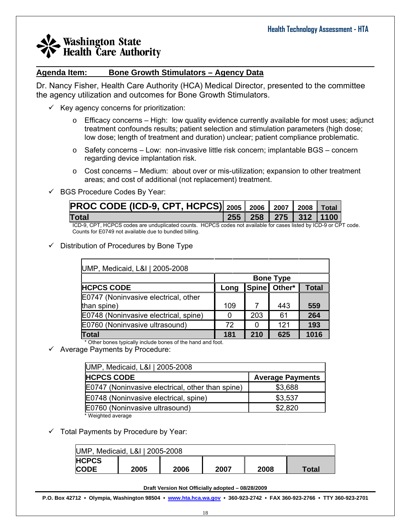#### $\_$  , and the set of the set of the set of the set of the set of the set of the set of the set of the set of the set of the set of the set of the set of the set of the set of the set of the set of the set of the set of th **Agenda Item: Bone Growth Stimulators – Agency Data**

Dr. Nancy Fisher, Health Care Authority (HCA) Medical Director, presented to the committee the agency utilization and outcomes for Bone Growth Stimulators.

- $\checkmark$  Key agency concerns for prioritization:
	- $\circ$  Efficacy concerns High: low quality evidence currently available for most uses; adjunct treatment confounds results; patient selection and stimulation parameters (high dose; low dose; length of treatment and duration) unclear; patient compliance problematic.
	- $\circ$  Safety concerns Low: non-invasive little risk concern; implantable BGS concern regarding device implantation risk.
	- $\circ$  Cost concerns Medium: about over or mis-utilization; expansion to other treatment areas; and cost of additional (not replacement) treatment.

#### $\checkmark$  BGS Procedure Codes By Year:

| PROC CODE (ICD-9, CPT, HCPCS) 2005 2006 2007 2008 Total |  |  |                              |
|---------------------------------------------------------|--|--|------------------------------|
| <b>Total</b>                                            |  |  | 255   258   275   312   1100 |
| .                                                       |  |  |                              |

ICD-9, CPT, HCPCS codes are unduplicated counts. HCPCS codes not available for cases listed by ICD-9 or CPT code. Counts for E0749 not available due to bundled billing.

### $\checkmark$  Distribution of Procedures by Bone Type

| UMP, Medicaid, L&I   2005-2008        |                  |     |              |              |  |  |  |  |
|---------------------------------------|------------------|-----|--------------|--------------|--|--|--|--|
|                                       | <b>Bone Type</b> |     |              |              |  |  |  |  |
| <b>HCPCS CODE</b>                     | Long             |     | Spine Other* | <b>Total</b> |  |  |  |  |
| E0747 (Noninvasive electrical, other  |                  |     |              |              |  |  |  |  |
| than spine)                           | 109              |     | 443          | 559          |  |  |  |  |
| E0748 (Noninvasive electrical, spine) | 0                | 203 | 61           | 264          |  |  |  |  |
| E0760 (Noninvasive ultrasound)        | 72               | O   | 121          | 193          |  |  |  |  |
| <b>Total</b>                          | 181              | 210 | 625          | 1016         |  |  |  |  |

\* Other bones typically include bones of the hand and foot.

 $\checkmark$  Average Payments by Procedure:

| UMP, Medicaid, L&I   2005-2008                   |                         |  |  |  |  |  |
|--------------------------------------------------|-------------------------|--|--|--|--|--|
| <b>HCPCS CODE</b>                                | <b>Average Payments</b> |  |  |  |  |  |
| E0747 (Noninvasive electrical, other than spine) | \$3,688                 |  |  |  |  |  |
| E0748 (Noninvasive electrical, spine)            | \$3,537                 |  |  |  |  |  |
| E0760 (Noninvasive ultrasound)                   | \$2,820                 |  |  |  |  |  |
| * Weighted average                               |                         |  |  |  |  |  |

 $\checkmark$  Total Payments by Procedure by Year:

| UMP, Medicaid, L&I   2005-2008 |      |      |      |      |       |  |
|--------------------------------|------|------|------|------|-------|--|
| <b>HCPCS</b>                   |      |      |      |      |       |  |
| <b>CODE</b>                    | 2005 | 2006 | 2007 | 2008 | Total |  |

**Draft Version Not Officially adopted – 08/28/2009**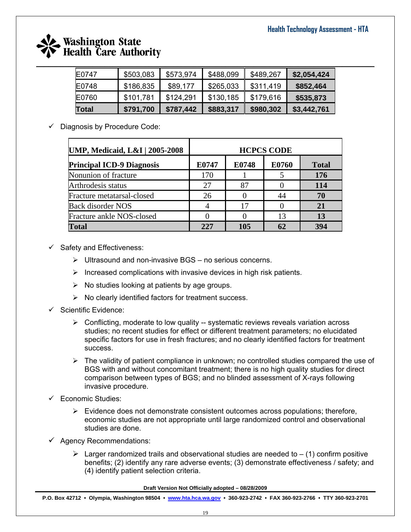

| E0747 | \$503,083 | \$573,974 | \$488,099 | \$489,267 | \$2,054,424 |
|-------|-----------|-----------|-----------|-----------|-------------|
| E0748 | \$186,835 | \$89,177  | \$265,033 | \$311,419 | \$852,464   |
| E0760 | \$101,781 | \$124,291 | \$130,185 | \$179,616 | \$535,873   |
| Total | \$791,700 | \$787,442 | \$883,317 | \$980,302 | \$3,442,761 |

 $\checkmark$  Diagnosis by Procedure Code:

| <b>UMP, Medicaid, L&amp;I   2005-2008</b> | <b>HCPCS CODE</b> |       |       |              |  |  |  |
|-------------------------------------------|-------------------|-------|-------|--------------|--|--|--|
| <b>Principal ICD-9 Diagnosis</b>          | E0747             | E0748 | E0760 | <b>Total</b> |  |  |  |
| Nonunion of fracture                      | 170               |       |       | 176          |  |  |  |
| Arthrodesis status                        | 27                | 87    |       | 114          |  |  |  |
| Fracture metatarsal-closed                | 26                |       | 44    | 70           |  |  |  |
| <b>Back disorder NOS</b>                  |                   | 17    |       | 21           |  |  |  |
| Fracture ankle NOS-closed                 |                   |       | 13    | 13           |  |  |  |
| <b>Total</b>                              | 227               | 105   | 62    | 394          |  |  |  |

- $\checkmark$  Safety and Effectiveness:
	- $\triangleright$  Ultrasound and non-invasive BGS no serious concerns.
	- $\triangleright$  Increased complications with invasive devices in high risk patients.
	- $\triangleright$  No studies looking at patients by age groups.
	- $\triangleright$  No clearly identified factors for treatment success.
- $\checkmark$  Scientific Evidence:
	- $\triangleright$  Conflicting, moderate to low quality -- systematic reviews reveals variation across studies; no recent studies for effect or different treatment parameters; no elucidated specific factors for use in fresh fractures; and no clearly identified factors for treatment success.
	- $\triangleright$  The validity of patient compliance in unknown; no controlled studies compared the use of BGS with and without concomitant treatment; there is no high quality studies for direct comparison between types of BGS; and no blinded assessment of X-rays following invasive procedure.
- $\checkmark$  Economic Studies:
	- $\triangleright$  Evidence does not demonstrate consistent outcomes across populations; therefore, economic studies are not appropriate until large randomized control and observational studies are done.
- $\checkmark$  Agency Recommendations:
	- $\triangleright$  Larger randomized trails and observational studies are needed to  $-$  (1) confirm positive benefits; (2) identify any rare adverse events; (3) demonstrate effectiveness / safety; and (4) identify patient selection criteria.

**Draft Version Not Officially adopted – 08/28/2009**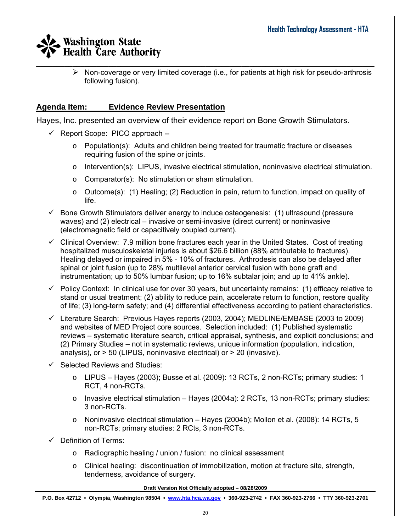$\triangleright$  Non-coverage or very limited coverage (i.e., for patients at high risk for pseudo-arthrosis following fusion).

## **Agenda Item: Evidence Review Presentation**

Hayes, Inc. presented an overview of their evidence report on Bone Growth Stimulators.

- $\checkmark$  Report Scope: PICO approach --
	- $\circ$  Population(s): Adults and children being treated for traumatic fracture or diseases requiring fusion of the spine or joints.
	- $\circ$  Intervention(s): LIPUS, invasive electrical stimulation, noninvasive electrical stimulation.
	- o Comparator(s): No stimulation or sham stimulation.
	- o Outcome(s): (1) Healing; (2) Reduction in pain, return to function, impact on quality of life.
- $\checkmark$  Bone Growth Stimulators deliver energy to induce osteogenesis: (1) ultrasound (pressure waves) and (2) electrical – invasive or semi-invasive (direct current) or noninvasive (electromagnetic field or capacitively coupled current).
- $\checkmark$  Clinical Overview: 7.9 million bone fractures each year in the United States. Cost of treating hospitalized musculoskeletal injuries is about \$26.6 billion (88% attributable to fractures). Healing delayed or impaired in 5% - 10% of fractures. Arthrodesis can also be delayed after spinal or joint fusion (up to 28% multilevel anterior cervical fusion with bone graft and instrumentation; up to 50% lumbar fusion; up to 16% subtalar join; and up to 41% ankle).
- $\checkmark$  Policy Context: In clinical use for over 30 years, but uncertainty remains: (1) efficacy relative to stand or usual treatment; (2) ability to reduce pain, accelerate return to function, restore quality of life; (3) long-term safety; and (4) differential effectiveness according to patient characteristics.
- $\checkmark$  Literature Search: Previous Hayes reports (2003, 2004); MEDLINE/EMBASE (2003 to 2009) and websites of MED Project core sources. Selection included: (1) Published systematic reviews – systematic literature search, critical appraisal, synthesis, and explicit conclusions; and (2) Primary Studies – not in systematic reviews, unique information (population, indication, analysis), or > 50 (LIPUS, noninvasive electrical) or > 20 (invasive).
- $\checkmark$  Selected Reviews and Studies:
	- o LIPUS Hayes (2003); Busse et al. (2009): 13 RCTs, 2 non-RCTs; primary studies: 1 RCT, 4 non-RCTs.
	- $\circ$  Invasive electrical stimulation Hayes (2004a): 2 RCTs, 13 non-RCTs; primary studies: 3 non-RCTs.
	- $\circ$  Noninvasive electrical stimulation Hayes (2004b); Mollon et al. (2008): 14 RCTs, 5 non-RCTs; primary studies: 2 RCts, 3 non-RCTs.
- $\checkmark$  Definition of Terms:
	- o Radiographic healing / union / fusion: no clinical assessment
	- o Clinical healing: discontinuation of immobilization, motion at fracture site, strength, tenderness, avoidance of surgery.

**Draft Version Not Officially adopted – 08/28/2009**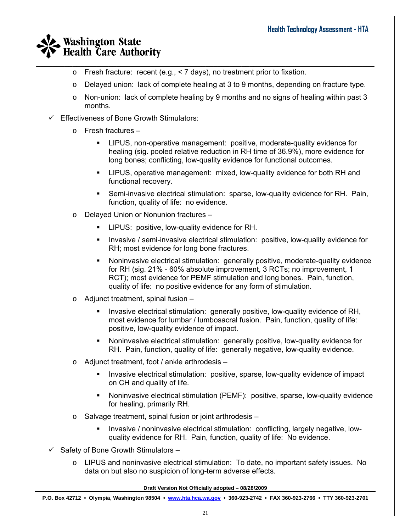$\circ$  Fresh fracture: recent (e.g., < 7 days), no treatment prior to fixation.

 $\_$  , and the set of the set of the set of the set of the set of the set of the set of the set of the set of the set of the set of the set of the set of the set of the set of the set of the set of the set of the set of th

- o Delayed union: lack of complete healing at 3 to 9 months, depending on fracture type.
- $\circ$  Non-union: lack of complete healing by 9 months and no signs of healing within past 3 months.
- $\checkmark$  Effectiveness of Bone Growth Stimulators:
	- o Fresh fractures
		- LIPUS, non-operative management: positive, moderate-quality evidence for healing (sig. pooled relative reduction in RH time of 36.9%), more evidence for long bones; conflicting, low-quality evidence for functional outcomes.
		- LIPUS, operative management: mixed, low-quality evidence for both RH and functional recovery.
		- Semi-invasive electrical stimulation: sparse, low-quality evidence for RH. Pain, function, quality of life: no evidence.
	- o Delayed Union or Nonunion fractures
		- LIPUS: positive, low-quality evidence for RH.
		- **Invasive / semi-invasive electrical stimulation: positive, low-quality evidence for** RH; most evidence for long bone fractures.
		- Noninvasive electrical stimulation: generally positive, moderate-quality evidence for RH (sig. 21% - 60% absolute improvement, 3 RCTs; no improvement, 1 RCT); most evidence for PEMF stimulation and long bones. Pain, function, quality of life: no positive evidence for any form of stimulation.
	- o Adjunct treatment, spinal fusion
		- **Invasive electrical stimulation: generally positive, low-quality evidence of RH,** most evidence for lumbar / lumbosacral fusion. Pain, function, quality of life: positive, low-quality evidence of impact.
		- Noninvasive electrical stimulation: generally positive, low-quality evidence for RH. Pain, function, quality of life: generally negative, low-quality evidence.
	- o Adjunct treatment, foot / ankle arthrodesis
		- Invasive electrical stimulation: positive, sparse, low-quality evidence of impact on CH and quality of life.
		- Noninvasive electrical stimulation (PEMF): positive, sparse, low-quality evidence for healing, primarily RH.
	- o Salvage treatment, spinal fusion or joint arthrodesis
		- Invasive / noninvasive electrical stimulation: conflicting, largely negative, lowquality evidence for RH. Pain, function, quality of life: No evidence.
- $\checkmark$  Safety of Bone Growth Stimulators
	- o LIPUS and noninvasive electrical stimulation: To date, no important safety issues. No data on but also no suspicion of long-term adverse effects.

**Draft Version Not Officially adopted – 08/28/2009**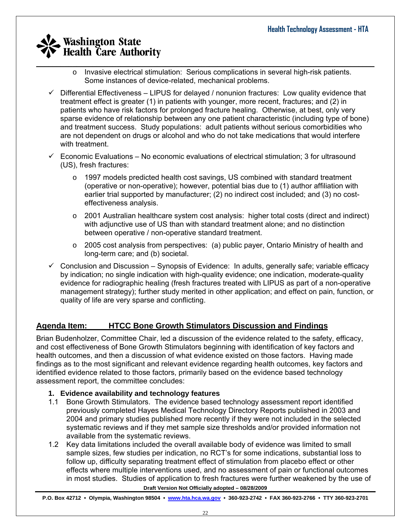- $\_$  , and the set of the set of the set of the set of the set of the set of the set of the set of the set of the set of the set of the set of the set of the set of the set of the set of the set of the set of the set of th o Invasive electrical stimulation: Serious complications in several high-risk patients. Some instances of device-related, mechanical problems.
	- $\checkmark$  Differential Effectiveness LIPUS for delayed / nonunion fractures: Low quality evidence that treatment effect is greater (1) in patients with younger, more recent, fractures; and (2) in patients who have risk factors for prolonged fracture healing. Otherwise, at best, only very sparse evidence of relationship between any one patient characteristic (including type of bone) and treatment success. Study populations: adult patients without serious comorbidities who are not dependent on drugs or alcohol and who do not take medications that would interfere with treatment.
	- $\checkmark$  Economic Evaluations No economic evaluations of electrical stimulation; 3 for ultrasound (US), fresh fractures:
		- $\circ$  1997 models predicted health cost savings, US combined with standard treatment (operative or non-operative); however, potential bias due to (1) author affiliation with earlier trial supported by manufacturer; (2) no indirect cost included; and (3) no costeffectiveness analysis.
		- $\circ$  2001 Australian healthcare system cost analysis: higher total costs (direct and indirect) with adjunctive use of US than with standard treatment alone; and no distinction between operative / non-operative standard treatment.
		- $\circ$  2005 cost analysis from perspectives: (a) public payer, Ontario Ministry of health and long-term care; and (b) societal.
	- $\checkmark$  Conclusion and Discussion Synopsis of Evidence: In adults, generally safe; variable efficacy by indication; no single indication with high-quality evidence; one indication, moderate-quality evidence for radiographic healing (fresh fractures treated with LIPUS as part of a non-operative management strategy); further study merited in other application; and effect on pain, function, or quality of life are very sparse and conflicting.

## **Agenda Item: HTCC Bone Growth Stimulators Discussion and Findings**

Brian Budenholzer, Committee Chair, led a discussion of the evidence related to the safety, efficacy, and cost effectiveness of Bone Growth Stimulators beginning with identification of key factors and health outcomes, and then a discussion of what evidence existed on those factors. Having made findings as to the most significant and relevant evidence regarding health outcomes, key factors and identified evidence related to those factors, primarily based on the evidence based technology assessment report, the committee concludes:

### **1. Evidence availability and technology features**

- 1.1 Bone Growth Stimulators. The evidence based technology assessment report identified previously completed Hayes Medical Technology Directory Reports published in 2003 and 2004 and primary studies published more recently if they were not included in the selected systematic reviews and if they met sample size thresholds and/or provided information not available from the systematic reviews.
- 1.2 Key data limitations included the overall available body of evidence was limited to small sample sizes, few studies per indication, no RCT's for some indications, substantial loss to follow up, difficulty separating treatment effect of stimulation from placebo effect or other effects where multiple interventions used, and no assessment of pain or functional outcomes in most studies. Studies of application to fresh fractures were further weakened by the use of

**Draft Version Not Officially adopted – 08/28/2009**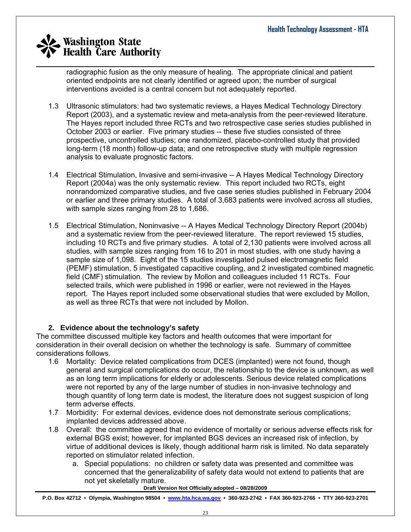$\_$  , and the set of the set of the set of the set of the set of the set of the set of the set of the set of the set of the set of the set of the set of the set of the set of the set of the set of the set of the set of th radiographic fusion as the only measure of healing. The appropriate clinical and patient oriented endpoints are not clearly identified or agreed upon; the number of surgical interventions avoided is a central concern but not adequately reported.

- 1.3 Ultrasonic stimulators: had two systematic reviews, a Hayes Medical Technology Directory Report (2003), and a systematic review and meta-analysis from the peer-reviewed literature. The Hayes report included three RCTs and two retrospective case series studies published in October 2003 or earlier. Five primary studies -- these five studies consisted of three prospective, uncontrolled studies; one randomized, placebo-controlled study that provided long-term (18 month) follow-up data; and one retrospective study with multiple regression analysis to evaluate prognostic factors.
- 1.4 Electrical Stimulation, Invasive and semi-invasive -- A Hayes Medical Technology Directory Report (2004a) was the only systematic review. This report included two RCTs, eight nonrandomized comparative studies, and five case series studies published in February 2004 or earlier and three primary studies. A total of 3,683 patients were involved across all studies, with sample sizes ranging from 28 to 1,686.
- 1.5 Electrical Stimulation, Noninvasive -- A Hayes Medical Technology Directory Report (2004b) and a systematic review from the peer-reviewed literature. The report reviewed 15 studies, including 10 RCTs and five primary studies. A total of 2,130 patients were involved across all studies, with sample sizes ranging from 16 to 201 in most studies, with one study having a sample size of 1,098. Eight of the 15 studies investigated pulsed electromagnetic field (PEMF) stimulation, 5 investigated capacitive coupling, and 2 investigated combined magnetic field (CMF) stimulation. The review by Mollon and colleagues included 11 RCTs. Four selected trails, which were published in 1996 or earlier, were not reviewed in the Hayes report. The Hayes report included some observational studies that were excluded by Mollon, as well as three RCTs that were not included by Mollon.

### **2. Evidence about the technology's safety**

The committee discussed multiple key factors and health outcomes that were important for consideration in their overall decision on whether the technology is safe. Summary of committee considerations follows.

- 1.6 Mortality: Device related complications from DCES (implanted) were not found, though general and surgical complications do occur, the relationship to the device is unknown, as well as an long term implications for elderly or adolescents. Serious device related complications were not reported by any of the large number of studies in non-invasive technology and though quantity of long term date is modest, the literature does not suggest suspicion of long term adverse effects.
- 1.7 Morbidity: For external devices, evidence does not demonstrate serious complications; implanted devices addressed above.
- 1.8 Overall: the committee agreed that no evidence of mortality or serious adverse effects risk for external BGS exist; however, for implanted BGS devices an increased risk of infection, by virtue of additional devices is likely, though additional harm risk is limited. No data separately reported on stimulator related infection.
	- a. Special populations: no children or safety data was presented and committee was concerned that the generalizability of safety data would not extend to patients that are not yet skeletally mature.

**Draft Version Not Officially adopted – 08/28/2009**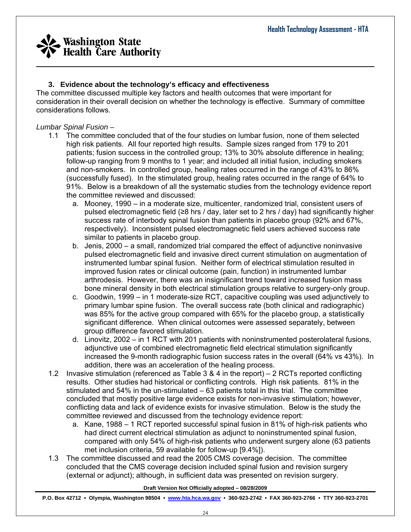

### **3. Evidence about the technology's efficacy and effectiveness**

The committee discussed multiple key factors and health outcomes that were important for consideration in their overall decision on whether the technology is effective. Summary of committee considerations follows.

#### *Lumbar Spinal Fusion –*

- 1.1 The committee concluded that of the four studies on lumbar fusion, none of them selected high risk patients. All four reported high results. Sample sizes ranged from 179 to 201 patients; fusion success in the controlled group; 13% to 30% absolute difference in healing; follow-up ranging from 9 months to 1 year; and included all initial fusion, including smokers and non-smokers. In controlled group, healing rates occurred in the range of 43% to 86% (successfully fused). In the stimulated group, healing rates occurred in the range of 64% to 91%. Below is a breakdown of all the systematic studies from the technology evidence report the committee reviewed and discussed:
	- a. Mooney, 1990 in a moderate size, multicenter, randomized trial, consistent users of pulsed electromagnetic field ( $\geq 8$  hrs / day, later set to 2 hrs / day) had significantly higher success rate of interbody spinal fusion than patients in placebo group (92% and 67%, respectively). Inconsistent pulsed electromagnetic field users achieved success rate similar to patients in placebo group.
	- b. Jenis, 2000 a small, randomized trial compared the effect of adjunctive noninvasive pulsed electromagnetic field and invasive direct current stimulation on augmentation of instrumented lumbar spinal fusion. Neither form of electrical stimulation resulted in improved fusion rates or clinical outcome (pain, function) in instrumented lumbar arthrodesis. However, there was an insignificant trend toward increased fusion mass bone mineral density in both electrical stimulation groups relative to surgery-only group.
	- c. Goodwin, 1999 in 1 moderate-size RCT, capacitive coupling was used adjunctively to primary lumbar spine fusion. The overall success rate (both clinical and radiographic) was 85% for the active group compared with 65% for the placebo group, a statistically significant difference. When clinical outcomes were assessed separately, between group difference favored stimulation.
	- d. Linovitz, 2002 in 1 RCT with 201 patients with noninstrumented posterolateral fusions, adjunctive use of combined electromagnetic field electrical stimulation significantly increased the 9-month radiographic fusion success rates in the overall (64% vs 43%). In addition, there was an acceleration of the healing process.
- 1.2 Invasive stimulation (referenced as Table 3 & 4 in the report) 2 RCTs reported conflicting results. Other studies had historical or conflicting controls. High risk patients. 81% in the stimulated and 54% in the un-stimulated – 63 patients total in this trial. The committee concluded that mostly positive large evidence exists for non-invasive stimulation; however, conflicting data and lack of evidence exists for invasive stimulation. Below is the study the committee reviewed and discussed from the technology evidence report:
	- a. Kane, 1988 1 RCT reported successful spinal fusion in 81% of high-risk patients who had direct current electrical stimulation as adjunct to noninstrumented spinal fusion, compared with only 54% of high-risk patients who underwent surgery alone (63 patients met inclusion criteria, 59 available for follow-up [9.4%]).
- 1.3 The committee discussed and read the 2005 CMS coverage decision. The committee concluded that the CMS coverage decision included spinal fusion and revision surgery (external or adjunct); although, in sufficient data was presented on revision surgery.

#### **Draft Version Not Officially adopted – 08/28/2009**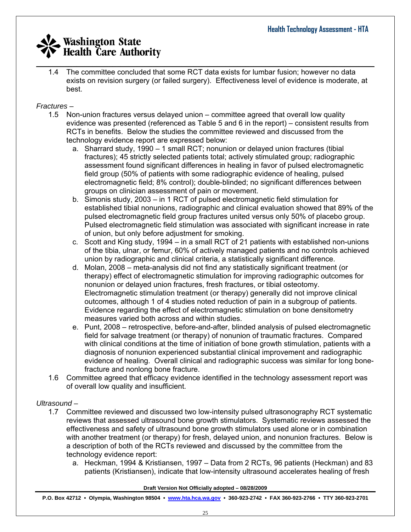$\_$  , and the set of the set of the set of the set of the set of the set of the set of the set of the set of the set of the set of the set of the set of the set of the set of the set of the set of the set of the set of th 1.4 The committee concluded that some RCT data exists for lumbar fusion; however no data exists on revision surgery (or failed surgery). Effectiveness level of evidence is moderate, at best.

### *Fractures –*

- 1.5 Non-union fractures versus delayed union committee agreed that overall low quality evidence was presented (referenced as Table 5 and 6 in the report) – consistent results from RCTs in benefits. Below the studies the committee reviewed and discussed from the technology evidence report are expressed below:
	- a. Sharrard study, 1990 1 small RCT; nonunion or delayed union fractures (tibial fractures); 45 strictly selected patients total; actively stimulated group; radiographic assessment found significant differences in healing in favor of pulsed electromagnetic field group (50% of patients with some radiographic evidence of healing, pulsed electromagnetic field; 8% control); double-blinded; no significant differences between groups on clinician assessment of pain or movement.
	- b. Simonis study, 2003 in 1 RCT of pulsed electromagnetic field stimulation for established tibial nonunions, radiographic and clinical evaluation showed that 89% of the pulsed electromagnetic field group fractures united versus only 50% of placebo group. Pulsed electromagnetic field stimulation was associated with significant increase in rate of union, but only before adjustment for smoking.
	- c. Scott and King study, 1994 in a small RCT of 21 patients with established non-unions of the tibia, ulnar, or femur, 60% of actively managed patients and no controls achieved union by radiographic and clinical criteria, a statistically significant difference.
	- d. Molan, 2008 meta-analysis did not find any statistically significant treatment (or therapy) effect of electromagnetic stimulation for improving radiographic outcomes for nonunion or delayed union fractures, fresh fractures, or tibial osteotomy. Electromagnetic stimulation treatment (or therapy) generally did not improve clinical outcomes, although 1 of 4 studies noted reduction of pain in a subgroup of patients. Evidence regarding the effect of electromagnetic stimulation on bone densitometry measures varied both across and within studies.
	- e. Punt, 2008 retrospective, before-and-after, blinded analysis of pulsed electromagnetic field for salvage treatment (or therapy) of nonunion of traumatic fractures. Compared with clinical conditions at the time of initiation of bone growth stimulation, patients with a diagnosis of nonunion experienced substantial clinical improvement and radiographic evidence of healing. Overall clinical and radiographic success was similar for long bonefracture and nonlong bone fracture.
- 1.6 Committee agreed that efficacy evidence identified in the technology assessment report was of overall low quality and insufficient.

### *Ultrasound –*

- 1.7 Committee reviewed and discussed two low-intensity pulsed ultrasonography RCT systematic reviews that assessed ultrasound bone growth stimulators. Systematic reviews assessed the effectiveness and safety of ultrasound bone growth stimulators used alone or in combination with another treatment (or therapy) for fresh, delayed union, and nonunion fractures. Below is a description of both of the RCTs reviewed and discussed by the committee from the technology evidence report:
	- a. Heckman, 1994 & Kristiansen, 1997 Data from 2 RCTs, 96 patients (Heckman) and 83 patients (Kristiansen), indicate that low-intensity ultrasound accelerates healing of fresh

**Draft Version Not Officially adopted – 08/28/2009**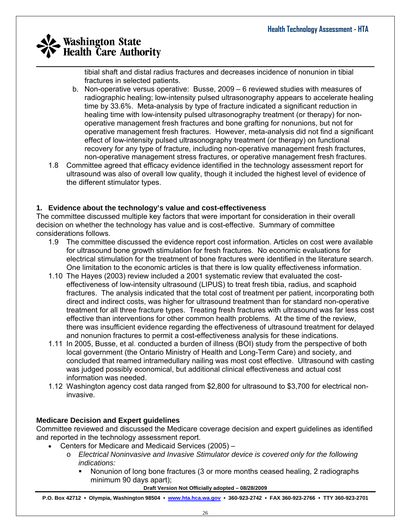tibial shaft and distal radius fractures and decreases incidence of nonunion in tibial fractures in selected patients.

- b. Non-operative versus operative: Busse, 2009 6 reviewed studies with measures of radiographic healing; low-intensity pulsed ultrasonography appears to accelerate healing time by 33.6%. Meta-analysis by type of fracture indicated a significant reduction in healing time with low-intensity pulsed ultrasonography treatment (or therapy) for nonoperative management fresh fractures and bone grafting for nonunions, but not for operative management fresh fractures. However, meta-analysis did not find a significant effect of low-intensity pulsed ultrasonography treatment (or therapy) on functional recovery for any type of fracture, including non-operative management fresh fractures, non-operative management stress fractures, or operative management fresh fractures.
- 1.8 Committee agreed that efficacy evidence identified in the technology assessment report for ultrasound was also of overall low quality, though it included the highest level of evidence of the different stimulator types.

### **1. Evidence about the technology's value and cost-effectiveness**

The committee discussed multiple key factors that were important for consideration in their overall decision on whether the technology has value and is cost-effective. Summary of committee considerations follows.

- 1.9 The committee discussed the evidence report cost information. Articles on cost were available for ultrasound bone growth stimulation for fresh fractures. No economic evaluations for electrical stimulation for the treatment of bone fractures were identified in the literature search. One limitation to the economic articles is that there is low quality effectiveness information.
- 1.10 The Hayes (2003) review included a 2001 systematic review that evaluated the costeffectiveness of low-intensity ultrasound (LIPUS) to treat fresh tibia, radius, and scaphoid fractures. The analysis indicated that the total cost of treatment per patient, incorporating both direct and indirect costs, was higher for ultrasound treatment than for standard non-operative treatment for all three fracture types. Treating fresh fractures with ultrasound was far less cost effective than interventions for other common health problems. At the time of the review, there was insufficient evidence regarding the effectiveness of ultrasound treatment for delayed and nonunion fractures to permit a cost-effectiveness analysis for these indications.
- 1.11 In 2005, Busse, et al. conducted a burden of illness (BOI) study from the perspective of both local government (the Ontario Ministry of Health and Long-Term Care) and society, and concluded that reamed intramedullary nailing was most cost effective. Ultrasound with casting was judged possibly economical, but additional clinical effectiveness and actual cost information was needed.
- 1.12 Washington agency cost data ranged from \$2,800 for ultrasound to \$3,700 for electrical noninvasive.

### **Medicare Decision and Expert guidelines**

Committee reviewed and discussed the Medicare coverage decision and expert guidelines as identified and reported in the technology assessment report.

- Centers for Medicare and Medicaid Services (2005)
	- o *Electrical Noninvasive and Invasive Stimulator device is covered only for the following indications:* 
		- Nonunion of long bone fractures (3 or more months ceased healing, 2 radiographs minimum 90 days apart);

**Draft Version Not Officially adopted – 08/28/2009**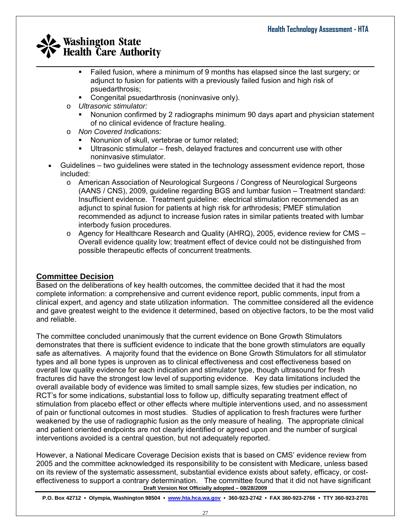- $\_$  , and the set of the set of the set of the set of the set of the set of the set of the set of the set of the set of the set of the set of the set of the set of the set of the set of the set of the set of the set of th Failed fusion, where a minimum of 9 months has elapsed since the last surgery; or adjunct to fusion for patients with a previously failed fusion and high risk of psuedarthrosis;
	- Congenital psuedarthrosis (noninvasive only).
	- o *Ultrasonic stimulator:* 
		- Nonunion confirmed by 2 radiographs minimum 90 days apart and physician statement of no clinical evidence of fracture healing.
	- o *Non Covered Indications:*
		- Nonunion of skull, vertebrae or tumor related;
		- Ultrasonic stimulator fresh, delayed fractures and concurrent use with other noninvasive stimulator.
	- Guidelines two guidelines were stated in the technology assessment evidence report, those included:
		- o American Association of Neurological Surgeons / Congress of Neurological Surgeons (AANS / CNS), 2009, guideline regarding BGS and lumbar fusion – Treatment standard: Insufficient evidence. Treatment guideline: electrical stimulation recommended as an adjunct to spinal fusion for patients at high risk for arthrodesis; PMEF stimulation recommended as adjunct to increase fusion rates in similar patients treated with lumbar interbody fusion procedures.
		- $\circ$  Agency for Healthcare Research and Quality (AHRQ), 2005, evidence review for CMS Overall evidence quality low; treatment effect of device could not be distinguished from possible therapeutic effects of concurrent treatments.

## **Committee Decision**

Based on the deliberations of key health outcomes, the committee decided that it had the most complete information: a comprehensive and current evidence report, public comments, input from a clinical expert, and agency and state utilization information. The committee considered all the evidence and gave greatest weight to the evidence it determined, based on objective factors, to be the most valid and reliable.

The committee concluded unanimously that the current evidence on Bone Growth Stimulators demonstrates that there is sufficient evidence to indicate that the bone growth stimulators are equally safe as alternatives. A majority found that the evidence on Bone Growth Stimulators for all stimulator types and all bone types is unproven as to clinical effectiveness and cost effectiveness based on overall low quality evidence for each indication and stimulator type, though ultrasound for fresh fractures did have the strongest low level of supporting evidence. Key data limitations included the overall available body of evidence was limited to small sample sizes, few studies per indication, no RCT's for some indications, substantial loss to follow up, difficulty separating treatment effect of stimulation from placebo effect or other effects where multiple interventions used, and no assessment of pain or functional outcomes in most studies. Studies of application to fresh fractures were further weakened by the use of radiographic fusion as the only measure of healing. The appropriate clinical and patient oriented endpoints are not clearly identified or agreed upon and the number of surgical interventions avoided is a central question, but not adequately reported.

**Draft Version Not Officially adopted – 08/28/2009**  However, a National Medicare Coverage Decision exists that is based on CMS' evidence review from 2005 and the committee acknowledged its responsibility to be consistent with Medicare, unless based on its review of the systematic assessment, substantial evidence exists about safety, efficacy, or costeffectiveness to support a contrary determination. The committee found that it did not have significant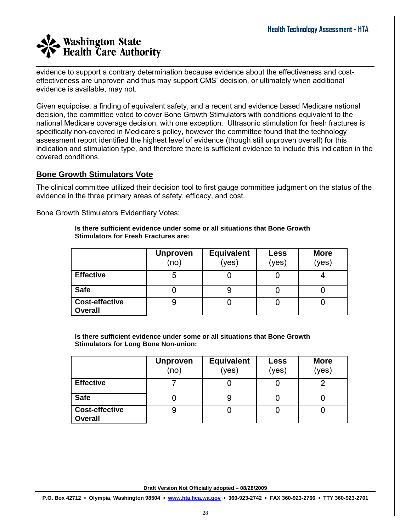evidence to support a contrary determination because evidence about the effectiveness and costeffectiveness are unproven and thus may support CMS' decision, or ultimately when additional evidence is available, may not.

 $\_$  , and the set of the set of the set of the set of the set of the set of the set of the set of the set of the set of the set of the set of the set of the set of the set of the set of the set of the set of the set of th

Given equipoise, a finding of equivalent safety, and a recent and evidence based Medicare national decision, the committee voted to cover Bone Growth Stimulators with conditions equivalent to the national Medicare coverage decision, with one exception. Ultrasonic stimulation for fresh fractures is specifically non-covered in Medicare's policy, however the committee found that the technology assessment report identified the highest level of evidence (though still unproven overall) for this indication and stimulation type, and therefore there is sufficient evidence to include this indication in the covered conditions.

## **Bone Growth Stimulators Vote**

The clinical committee utilized their decision tool to first gauge committee judgment on the status of the evidence in the three primary areas of safety, efficacy, and cost.

Bone Growth Stimulators Evidentiary Votes:

#### **Is there sufficient evidence under some or all situations that Bone Growth Stimulators for Fresh Fractures are:**

|                                         | <b>Unproven</b><br>(no) | <b>Equivalent</b><br>(yes) | Less<br>(yes) | <b>More</b><br>(yes) |
|-----------------------------------------|-------------------------|----------------------------|---------------|----------------------|
| <b>Effective</b>                        | 5                       |                            |               |                      |
| <b>Safe</b>                             |                         | 9                          |               |                      |
| <b>Cost-effective</b><br><b>Overall</b> |                         |                            |               |                      |

**Is there sufficient evidence under some or all situations that Bone Growth Stimulators for Long Bone Non-union:** 

|                                         | <b>Unproven</b><br>(no) | <b>Equivalent</b><br>(yes) | Less<br>(yes) | <b>More</b><br>(yes) |
|-----------------------------------------|-------------------------|----------------------------|---------------|----------------------|
| <b>Effective</b>                        |                         |                            |               | ◠                    |
| <b>Safe</b>                             |                         |                            |               |                      |
| <b>Cost-effective</b><br><b>Overall</b> | 9                       |                            |               |                      |

**Draft Version Not Officially adopted – 08/28/2009**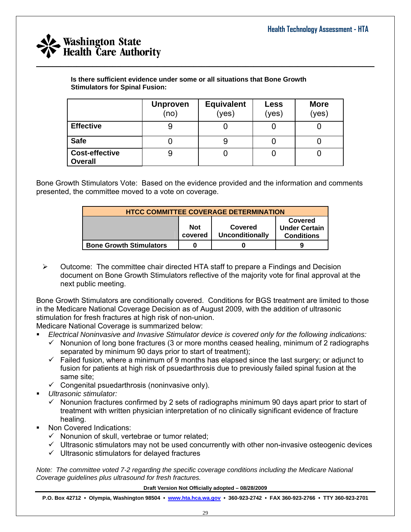

**Is there sufficient evidence under some or all situations that Bone Growth Stimulators for Spinal Fusion:** 

|                                         | <b>Unproven</b><br>(no) | <b>Equivalent</b><br>(yes) | <b>Less</b><br>(yes) | <b>More</b><br>(yes) |
|-----------------------------------------|-------------------------|----------------------------|----------------------|----------------------|
| <b>Effective</b>                        |                         |                            |                      |                      |
| <b>Safe</b>                             |                         |                            |                      |                      |
| <b>Cost-effective</b><br><b>Overall</b> | 9                       |                            |                      |                      |

 $\_$  , and the set of the set of the set of the set of the set of the set of the set of the set of the set of the set of the set of the set of the set of the set of the set of the set of the set of the set of the set of th

Bone Growth Stimulators Vote: Based on the evidence provided and the information and comments presented, the committee moved to a vote on coverage.

| <b>HTCC COMMITTEE COVERAGE DETERMINATION</b> |                       |                                   |                                                      |  |  |
|----------------------------------------------|-----------------------|-----------------------------------|------------------------------------------------------|--|--|
|                                              | <b>Not</b><br>covered | Covered<br><b>Unconditionally</b> | Covered<br><b>Under Certain</b><br><b>Conditions</b> |  |  |
| <b>Bone Growth Stimulators</b>               | 0                     |                                   |                                                      |  |  |

 $\triangleright$  Outcome: The committee chair directed HTA staff to prepare a Findings and Decision document on Bone Growth Stimulators reflective of the majority vote for final approval at the next public meeting.

Bone Growth Stimulators are conditionally covered. Conditions for BGS treatment are limited to those in the Medicare National Coverage Decision as of August 2009, with the addition of ultrasonic stimulation for fresh fractures at high risk of non-union.

Medicare National Coverage is summarized below:

- *Electrical Noninvasive and Invasive Stimulator device is covered only for the following indications:*
	- $\checkmark$  Nonunion of long bone fractures (3 or more months ceased healing, minimum of 2 radiographs separated by minimum 90 days prior to start of treatment);
	- $\checkmark$  Failed fusion, where a minimum of 9 months has elapsed since the last surgery; or adjunct to fusion for patients at high risk of psuedarthrosis due to previously failed spinal fusion at the same site;
	- $\checkmark$  Congenital psuedarthrosis (noninvasive only).
- *Ultrasonic stimulator:*
	- $\checkmark$  Nonunion fractures confirmed by 2 sets of radiographs minimum 90 days apart prior to start of treatment with written physician interpretation of no clinically significant evidence of fracture healing.
- Non Covered Indications:
	- $\checkmark$  Nonunion of skull, vertebrae or tumor related;
	- $\checkmark$  Ultrasonic stimulators may not be used concurrently with other non-invasive osteogenic devices
	- $\checkmark$  Ultrasonic stimulators for delayed fractures

*Note: The committee voted 7-2 regarding the specific coverage conditions including the Medicare National Coverage guidelines plus ultrasound for fresh fractures.* 

**Draft Version Not Officially adopted – 08/28/2009**